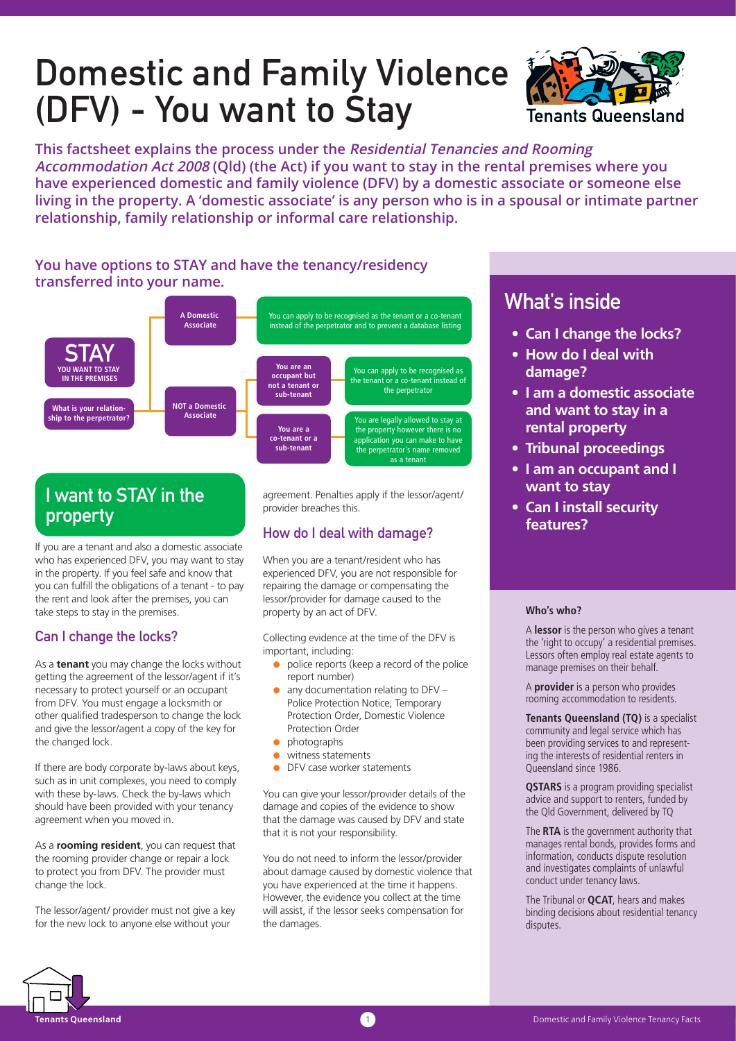# Domestic and Family Violence (DFV) - You want to Stay



**This factsheet explains the process under the Residential Tenancies and Rooming Accommodation Act 2008 (Qld) (the Act) if you want to stay in the rental premises where you have experienced domestic and family violence (DFV) by a domestic associate or someone else living in the property. A 'domestic associate' is any person who is in a spousal or intimate partner relationship, family relationship or informal care relationship.** 

# **You have options to STAY and have the tenancy/residency transferred into your name.**



# I want to STAY in the property

If you are a tenant and also a domestic associate who has experienced DFV, you may want to stay in the property. If you feel safe and know that you can fulfill the obligations of a tenant - to pay the rent and look after the premises, you can take steps to stay in the premises.

## Can I change the locks?

As a **tenant** you may change the locks without getting the agreement of the lessor/agent if it's necessary to protect yourself or an occupant from DFV. You must engage a locksmith or other qualified tradesperson to change the lock and give the lessor/agent a copy of the key for the changed lock.

If there are body corporate by-laws about keys, such as in unit complexes, you need to comply with these by-laws. Check the by-laws which should have been provided with your tenancy agreement when you moved in.

As a **rooming resident**, you can request that the rooming provider change or repair a lock to protect you from DFV. The provider must change the lock.

The lessor/agent/ provider must not give a key for the new lock to anyone else without your

agreement. Penalties apply if the lessor/agent/ provider breaches this.

## How do I deal with damage?

When you are a tenant/resident who has experienced DFV, you are not responsible for repairing the damage or compensating the lessor/provider for damage caused to the property by an act of DFV.

Collecting evidence at the time of the DFV is important, including:

- $\bullet$  police reports (keep a record of the police report number)
- $\bullet$  any documentation relating to DFV Police Protection Notice, Temporary Protection Order, Domestic Violence Protection Order
- photographs
- witness statements
- DFV case worker statements

You can give your lessor/provider details of the damage and copies of the evidence to show that the damage was caused by DFV and state that it is not your responsibility.

You do not need to inform the lessor/provider about damage caused by domestic violence that you have experienced at the time it happens. However, the evidence you collect at the time will assist, if the lessor seeks compensation for the damages.

# What's inside

- **Can I change the locks?**
- **How do I deal with damage?**
- **I am a domestic associate and want to stay in a rental property**
- **Tribunal proceedings**
- **I am an occupant and I want to stay**
- **Can I install security features?**

#### **Who's who?**

A **lessor** is the person who gives a tenant the 'right to occupy' a residential premises. Lessors often employ real estate agents to manage premises on their behalf.

A **provider** is a person who provides rooming accommodation to residents.

**Tenants Queensland (TQ)** is a specialist community and legal service which has been providing services to and representing the interests of residential renters in Queensland since 1986.

**QSTARS** is a program providing specialist advice and support to renters, funded by the Qld Government, delivered by TQ

The **RTA** is the government authority that manages rental bonds, provides forms and information, conducts dispute resolution and investigates complaints of unlawful conduct under tenancy laws.

The Tribunal or **QCAT**, hears and makes binding decisions about residential tenancy disputes.